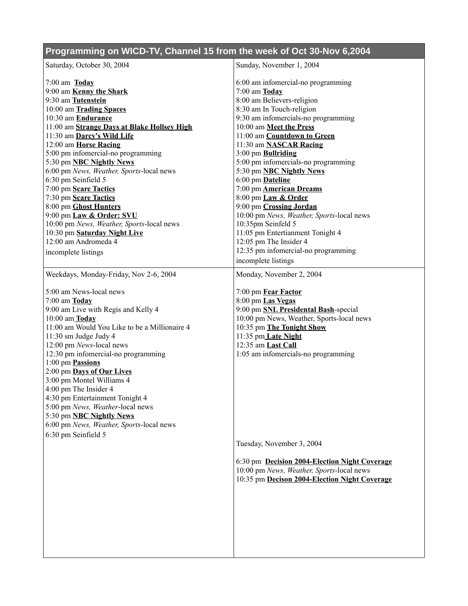## **Programming on WICD-TV, Channel 15 from the week of Oct 30-Nov 6,2004** Saturday, October 30, 2004 7:00 am **Today** 9:00 am **Kenny the Shark** 9:30 am **Tutenstein** 10:00 am **Trading Spaces** 10:30 am **Endurance** 11:00 am **Strange Days at Blake Hollsey High** 11:30 am **Darcy's Wild Life** 12:00 am **Horse Racing** 5:00 pm infomercial-no programming 5:30 pm **NBC Nightly News** 6:00 pm *News, Weather, Sports*-local news 6:30 pm Seinfield 5 7:00 pm **Scare Tactics** 7:30 pm **Scare Tactics** 8:00 pm **Ghost Hunters** 9:00 pm **Law & Order: SVU** 10:00 pm *News, Weather, Sports*-local news 10:30 pm **Saturday Night Live** 12:00 am Andromeda 4 incomplete listings Sunday, November 1, 2004 6:00 am infomercial-no programming 7:00 am **Today** 8:00 am Believers-religion 8:30 am In Touch-religion 9:30 am infomercials-no programming 10:00 am **Meet the Press** 11:00 am **Countdown to Green** 11:30 am **NASCAR Racing** 3:00 pm **Bullriding** 5:00 pm infomercials-no programming 5:30 pm **NBC Nightly News** 6:00 pm **Dateline** 7:00 pm **American Dreams** 8:00 pm **Law & Order** 9:00 pm **Crossing Jordan** 10:00 pm *News, Weather, Sports*-local news 10:35pm Seinfeld 5 11:05 pm Entertianment Tonight 4 12:05 pm The Insider 4 12:35 pm infomercial-no programming incomplete listings Weekdays, Monday-Friday, Nov 2-6, 2004 5:00 am News-local news 7:00 am **Today** 9:00 am Live with Regis and Kelly 4 10:00 am **Today** 11:00 am Would You Like to be a Millionaire 4 11:30 sm Judge Judy 4 12:00 pm *News*-local news 12:30 pm infomercial-no programming 1:00 pm **Passions** 2:00 pm **Days of Our Lives** 3:00 pm Montel Williams 4 4:00 pm The Insider 4 4:30 pm Entertainment Tonight 4 5:00 pm *News, Weather*-local news 5:30 pm **NBC Nightly News** 6:00 pm *News, Weather, Sports*-local news 6:30 pm Seinfield 5 Monday, November 2, 2004 7:00 pm **Fear Factor** 8:00 pm **Las Vegas** 9:00 pm **SNL Presidental Bash**-special 10:00 pm News, Weather, Sports-local news 10:35 pm **The Tonight Show** 11:35 pm **Late Night** 12:35 am **Last Call** 1:05 am infomercials-no programming Tuesday, November 3, 2004 6:30 pm **Decision 2004-Election Night Coverage** 10:00 pm *News, Weather, Sports*-local news 10:35 pm **Decison 2004-Election Night Coverage**